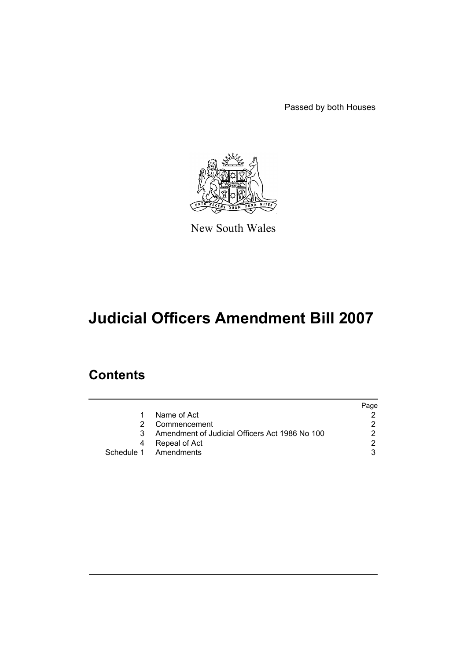Passed by both Houses



New South Wales

# **Judicial Officers Amendment Bill 2007**

## **Contents**

|   |                                                | Page |
|---|------------------------------------------------|------|
| 1 | Name of Act                                    |      |
| 2 | Commencement                                   |      |
| 3 | Amendment of Judicial Officers Act 1986 No 100 |      |
| 4 | Repeal of Act                                  | ົ    |
|   | Schedule 1 Amendments                          |      |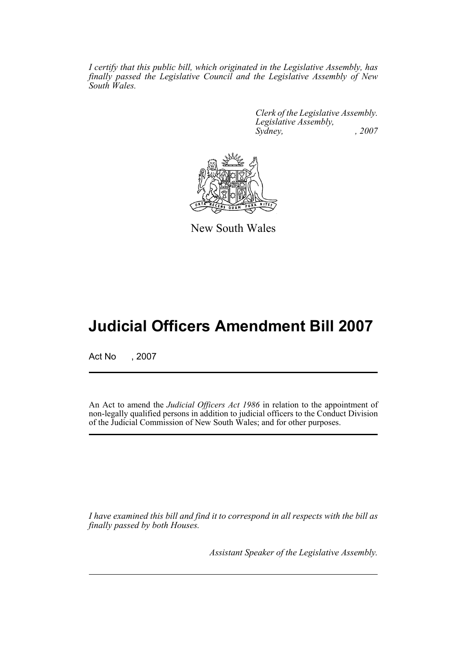*I certify that this public bill, which originated in the Legislative Assembly, has finally passed the Legislative Council and the Legislative Assembly of New South Wales.*

> *Clerk of the Legislative Assembly. Legislative Assembly, Sydney, , 2007*



New South Wales

## **Judicial Officers Amendment Bill 2007**

Act No , 2007

An Act to amend the *Judicial Officers Act 1986* in relation to the appointment of non-legally qualified persons in addition to judicial officers to the Conduct Division of the Judicial Commission of New South Wales; and for other purposes.

*I have examined this bill and find it to correspond in all respects with the bill as finally passed by both Houses.*

*Assistant Speaker of the Legislative Assembly.*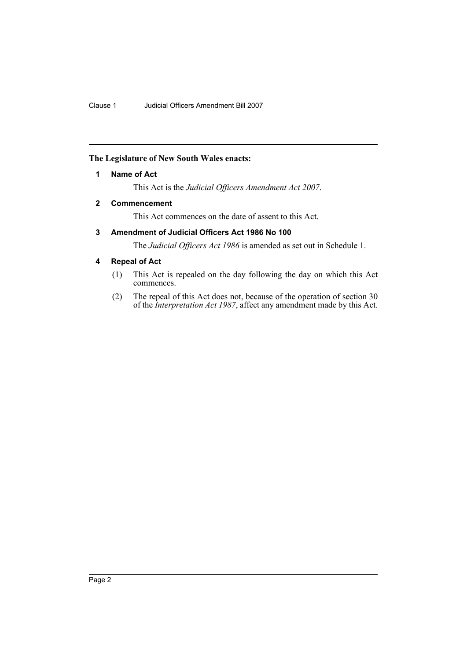## <span id="page-2-0"></span>**The Legislature of New South Wales enacts:**

## **1 Name of Act**

This Act is the *Judicial Officers Amendment Act 2007*.

## <span id="page-2-1"></span>**2 Commencement**

This Act commences on the date of assent to this Act.

## <span id="page-2-2"></span>**3 Amendment of Judicial Officers Act 1986 No 100**

The *Judicial Officers Act 1986* is amended as set out in Schedule 1.

## <span id="page-2-3"></span>**4 Repeal of Act**

- (1) This Act is repealed on the day following the day on which this Act commences.
- (2) The repeal of this Act does not, because of the operation of section 30 of the *Interpretation Act 1987*, affect any amendment made by this Act.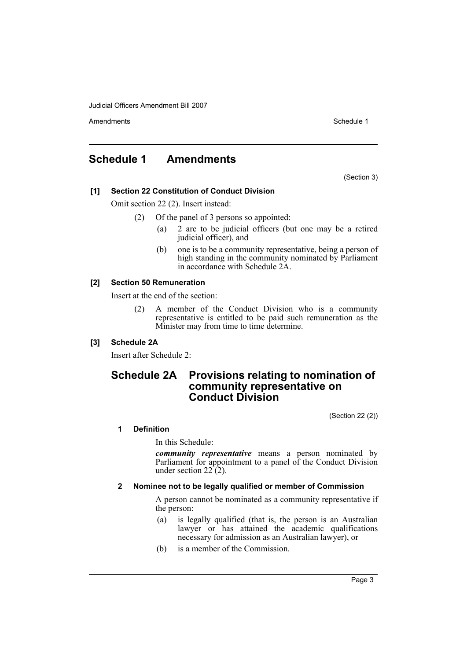Amendments **Amendments** Schedule 1

## <span id="page-3-0"></span>**Schedule 1 Amendments**

(Section 3)

## **[1] Section 22 Constitution of Conduct Division**

Omit section 22 (2). Insert instead:

- (2) Of the panel of 3 persons so appointed:
	- (a) 2 are to be judicial officers (but one may be a retired judicial officer), and
	- (b) one is to be a community representative, being a person of high standing in the community nominated by Parliament in accordance with Schedule 2A.

## **[2] Section 50 Remuneration**

Insert at the end of the section:

(2) A member of the Conduct Division who is a community representative is entitled to be paid such remuneration as the Minister may from time to time determine.

## **[3] Schedule 2A**

Insert after Schedule 2:

## **Schedule 2A Provisions relating to nomination of community representative on Conduct Division**

(Section 22 (2))

## **1 Definition**

In this Schedule:

*community representative* means a person nominated by Parliament for appointment to a panel of the Conduct Division under section  $22(2)$ .

## **2 Nominee not to be legally qualified or member of Commission**

A person cannot be nominated as a community representative if the person:

- (a) is legally qualified (that is, the person is an Australian lawyer or has attained the academic qualifications necessary for admission as an Australian lawyer), or
- (b) is a member of the Commission.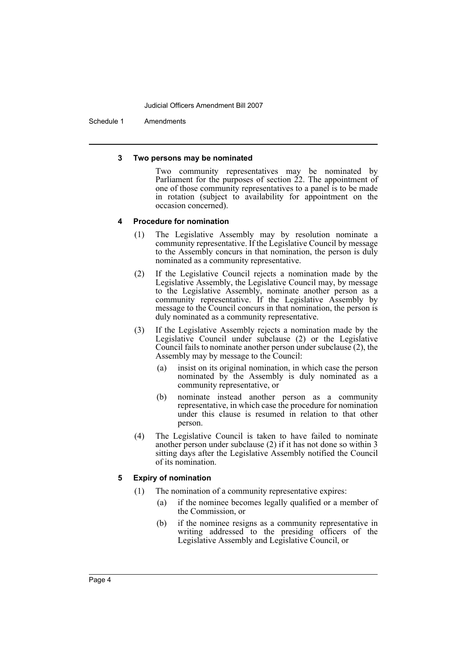Schedule 1 Amendments

#### **3 Two persons may be nominated**

Two community representatives may be nominated by Parliament for the purposes of section 22. The appointment of one of those community representatives to a panel is to be made in rotation (subject to availability for appointment on the occasion concerned).

### **4 Procedure for nomination**

- (1) The Legislative Assembly may by resolution nominate a community representative. If the Legislative Council by message to the Assembly concurs in that nomination, the person is duly nominated as a community representative.
- (2) If the Legislative Council rejects a nomination made by the Legislative Assembly, the Legislative Council may, by message to the Legislative Assembly, nominate another person as a community representative. If the Legislative Assembly by message to the Council concurs in that nomination, the person is duly nominated as a community representative.
- (3) If the Legislative Assembly rejects a nomination made by the Legislative Council under subclause (2) or the Legislative Council fails to nominate another person under subclause (2), the Assembly may by message to the Council:
	- (a) insist on its original nomination, in which case the person nominated by the Assembly is duly nominated as a community representative, or
	- (b) nominate instead another person as a community representative, in which case the procedure for nomination under this clause is resumed in relation to that other person.
- (4) The Legislative Council is taken to have failed to nominate another person under subclause (2) if it has not done so within 3 sitting days after the Legislative Assembly notified the Council of its nomination.

### **5 Expiry of nomination**

- (1) The nomination of a community representative expires:
	- (a) if the nominee becomes legally qualified or a member of the Commission, or
	- (b) if the nominee resigns as a community representative in writing addressed to the presiding officers of the Legislative Assembly and Legislative Council, or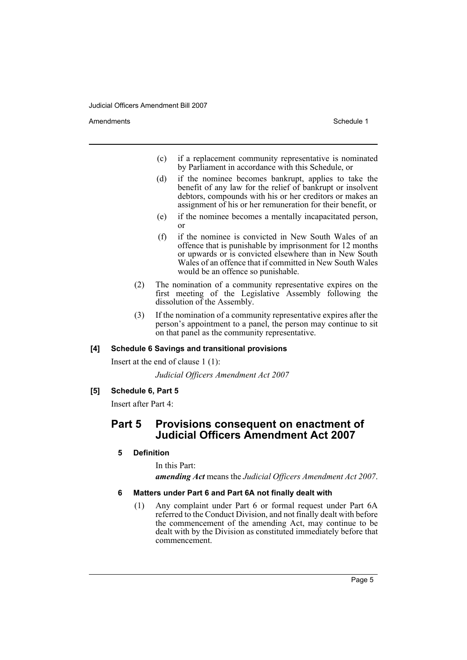Amendments **Amendments** Schedule 1

- (c) if a replacement community representative is nominated by Parliament in accordance with this Schedule, or
- (d) if the nominee becomes bankrupt, applies to take the benefit of any law for the relief of bankrupt or insolvent debtors, compounds with his or her creditors or makes an assignment of his or her remuneration for their benefit, or
- (e) if the nominee becomes a mentally incapacitated person, or
- (f) if the nominee is convicted in New South Wales of an offence that is punishable by imprisonment for 12 months or upwards or is convicted elsewhere than in New South Wales of an offence that if committed in New South Wales would be an offence so punishable.
- (2) The nomination of a community representative expires on the first meeting of the Legislative Assembly following the dissolution of the Assembly.
- (3) If the nomination of a community representative expires after the person's appointment to a panel, the person may continue to sit on that panel as the community representative.

## **[4] Schedule 6 Savings and transitional provisions**

Insert at the end of clause 1 (1):

*Judicial Officers Amendment Act 2007*

**[5] Schedule 6, Part 5**

Insert after Part 4:

## **Part 5 Provisions consequent on enactment of Judicial Officers Amendment Act 2007**

### **5 Definition**

In this Part:

*amending Act* means the *Judicial Officers Amendment Act 2007*.

## **6 Matters under Part 6 and Part 6A not finally dealt with**

(1) Any complaint under Part 6 or formal request under Part 6A referred to the Conduct Division, and not finally dealt with before the commencement of the amending Act, may continue to be dealt with by the Division as constituted immediately before that commencement.